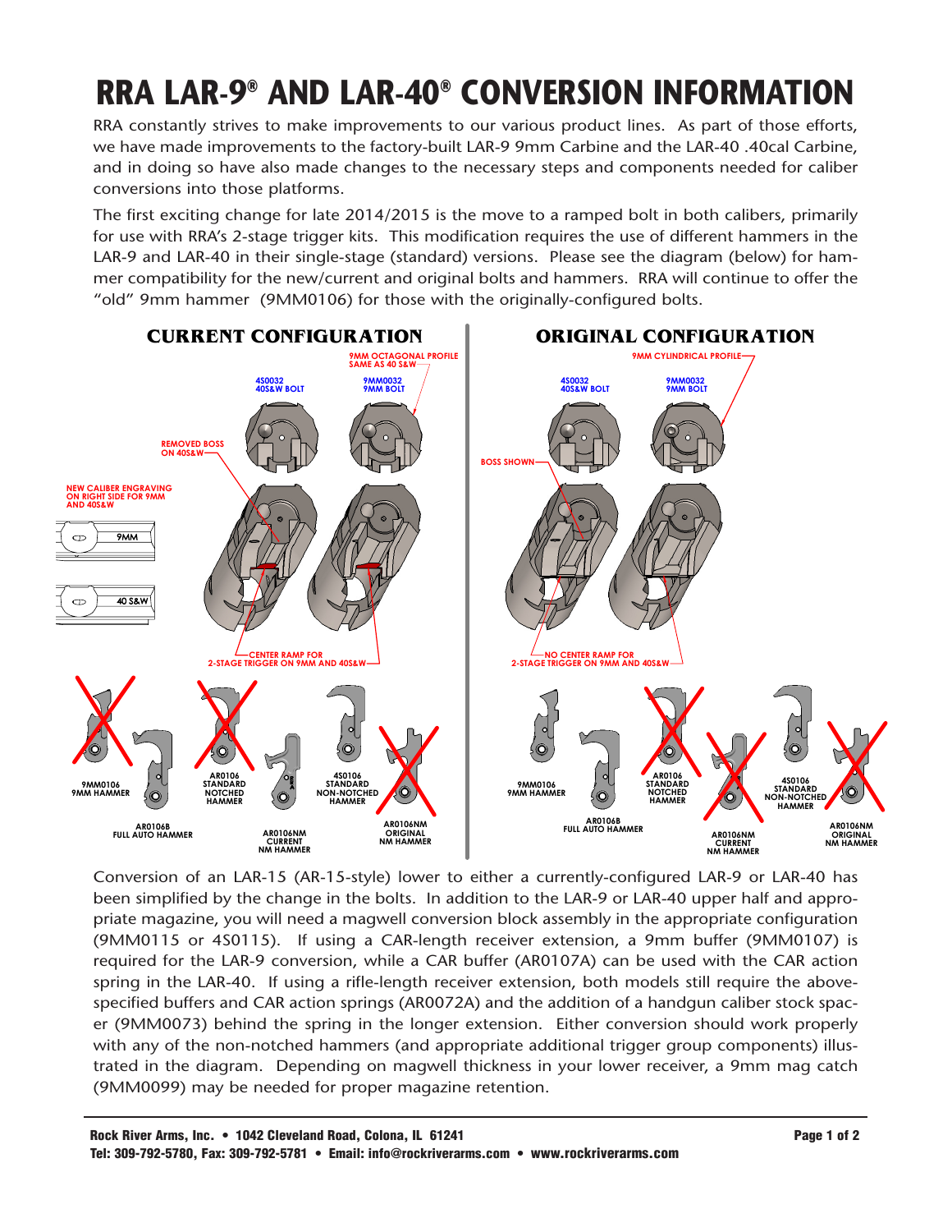## **RRA LAR-9<sup>®</sup> AND LAR-40<sup>®</sup> CONVERSION INFORMATION**

RRA constantly strives to make improvements to our various product lines. As part of those efforts, we have made improvements to the factory-built LAR-9 9mm Carbine and the LAR-40 .40cal Carbine, and in doing so have also made changes to the necessary steps and components needed for caliber conversions into those platforms.

The first exciting change for late 2014/2015 is the move to a ramped bolt in both calibers, primarily for use with RRA's 2-stage trigger kits. This modification requires the use of different hammers in the LAR-9 and LAR-40 in their single-stage (standard) versions. Please see the diagram (below) for hammer compatibility for the new/current and original bolts and hammers. RRA will continue to offer the "old" 9mm hammer (9MM0106) for those with the originally-configured bolts.



Conversion of an LAR-15 (AR-15-style) lower to either a currently-configured LAR-9 or LAR-40 has been simplified by the change in the bolts. In addition to the LAR-9 or LAR-40 upper half and appropriate magazine, you will need a magwell conversion block assembly in the appropriate configuration (9MM0115 or 4S0115). If using a CAR-length receiver extension, a 9mm buffer (9MM0107) is required for the LAR-9 conversion, while a CAR buffer (AR0107A) can be used with the CAR action spring in the LAR-40. If using a rifle-length receiver extension, both models still require the abovespecified buffers and CAR action springs (AR0072A) and the addition of a handgun caliber stock spacer (9MM0073) behind the spring in the longer extension. Either conversion should work properly with any of the non-notched hammers (and appropriate additional trigger group components) illustrated in the diagram. Depending on magwell thickness in your lower receiver, a 9mm mag catch (9MM0099) may be needed for proper magazine retention.